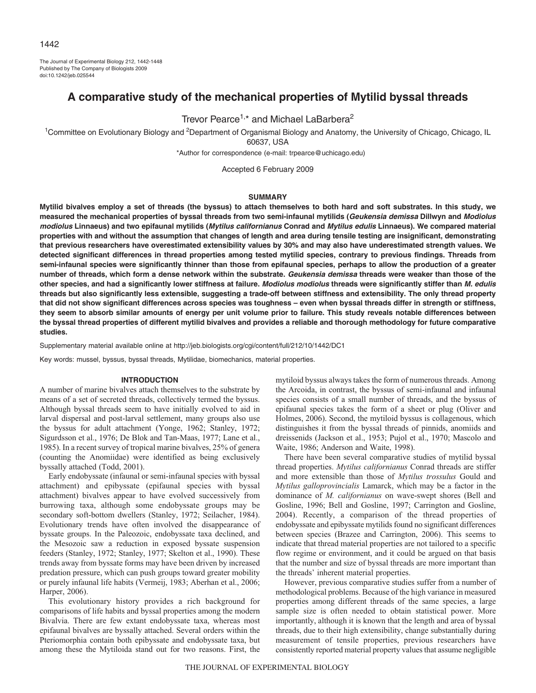The Journal of Experimental Biology 212, 1442-1448 Published by The Company of Biologists 2009 doi:10.1242/jeb.025544

# **A comparative study of the mechanical properties of Mytilid byssal threads**

Trevor Pearce<sup>1,\*</sup> and Michael LaBarbera<sup>2</sup>

<sup>1</sup>Committee on Evolutionary Biology and <sup>2</sup>Department of Organismal Biology and Anatomy, the University of Chicago, Chicago, IL 60637, USA

\*Author for correspondence (e-mail: trpearce@uchicago.edu)

Accepted 6 February 2009

# **SUMMARY**

**Mytilid bivalves employ a set of threads (the byssus) to attach themselves to both hard and soft substrates. In this study, we measured the mechanical properties of byssal threads from two semi-infaunal mytilids (Geukensia demissa Dillwyn and Modiolus modiolus Linnaeus) and two epifaunal mytilids (Mytilus californianus Conrad and Mytilus edulis Linnaeus). We compared material properties with and without the assumption that changes of length and area during tensile testing are insignificant, demonstrating that previous researchers have overestimated extensibility values by 30% and may also have underestimated strength values. We detected significant differences in thread properties among tested mytilid species, contrary to previous findings. Threads from semi-infaunal species were significantly thinner than those from epifaunal species, perhaps to allow the production of a greater number of threads, which form a dense network within the substrate. Geukensia demissa threads were weaker than those of the other species, and had a significantly lower stiffness at failure. Modiolus modiolus threads were significantly stiffer than M. edulis threads but also significantly less extensible, suggesting a trade-off between stiffness and extensibility. The only thread property that did not show significant differences across species was toughness – even when byssal threads differ in strength or stiffness, they seem to absorb similar amounts of energy per unit volume prior to failure. This study reveals notable differences between the byssal thread properties of different mytilid bivalves and provides a reliable and thorough methodology for future comparative studies.**

Supplementary material available online at http://jeb.biologists.org/cgi/content/full/212/10/1442/DC1

Key words: mussel, byssus, byssal threads, Mytilidae, biomechanics, material properties.

### **INTRODUCTION**

A number of marine bivalves attach themselves to the substrate by means of a set of secreted threads, collectively termed the byssus. Although byssal threads seem to have initially evolved to aid in larval dispersal and post-larval settlement, many groups also use the byssus for adult attachment (Yonge, 1962; Stanley, 1972; Sigurdsson et al., 1976; De Blok and Tan-Maas, 1977; Lane et al., 1985). In a recent survey of tropical marine bivalves, 25% of genera (counting the Anomiidae) were identified as being exclusively byssally attached (Todd, 2001).

Early endobyssate (infaunal or semi-infaunal species with byssal attachment) and epibyssate (epifaunal species with byssal attachment) bivalves appear to have evolved successively from burrowing taxa, although some endobyssate groups may be secondary soft-bottom dwellers (Stanley, 1972; Seilacher, 1984). Evolutionary trends have often involved the disappearance of byssate groups. In the Paleozoic, endobyssate taxa declined, and the Mesozoic saw a reduction in exposed byssate suspension feeders (Stanley, 1972; Stanley, 1977; Skelton et al., 1990). These trends away from byssate forms may have been driven by increased predation pressure, which can push groups toward greater mobility or purely infaunal life habits (Vermeij, 1983; Aberhan et al., 2006; Harper, 2006).

This evolutionary history provides a rich background for comparisons of life habits and byssal properties among the modern Bivalvia. There are few extant endobyssate taxa, whereas most epifaunal bivalves are byssally attached. Several orders within the Pteriomorphia contain both epibyssate and endobyssate taxa, but among these the Mytiloida stand out for two reasons. First, the

mytiloid byssus always takes the form of numerous threads. Among the Arcoida, in contrast, the byssus of semi-infaunal and infaunal species consists of a small number of threads, and the byssus of epifaunal species takes the form of a sheet or plug (Oliver and Holmes, 2006). Second, the mytiloid byssus is collagenous, which distinguishes it from the byssal threads of pinnids, anomiids and dreissenids (Jackson et al., 1953; Pujol et al., 1970; Mascolo and Waite, 1986; Anderson and Waite, 1998).

There have been several comparative studies of mytilid byssal thread properties. *Mytilus californianus* Conrad threads are stiffer and more extensible than those of *Mytilus trossulus* Gould and *Mytilus galloprovincialis* Lamarck, which may be a factor in the dominance of *M. californianus* on wave-swept shores (Bell and Gosline, 1996; Bell and Gosline, 1997; Carrington and Gosline, 2004). Recently, a comparison of the thread properties of endobyssate and epibyssate mytilids found no significant differences between species (Brazee and Carrington, 2006). This seems to indicate that thread material properties are not tailored to a specific flow regime or environment, and it could be argued on that basis that the number and size of byssal threads are more important than the threads' inherent material properties.

However, previous comparative studies suffer from a number of methodological problems. Because of the high variance in measured properties among different threads of the same species, a large sample size is often needed to obtain statistical power. More importantly, although it is known that the length and area of byssal threads, due to their high extensibility, change substantially during measurement of tensile properties, previous researchers have consistently reported material property values that assume negligible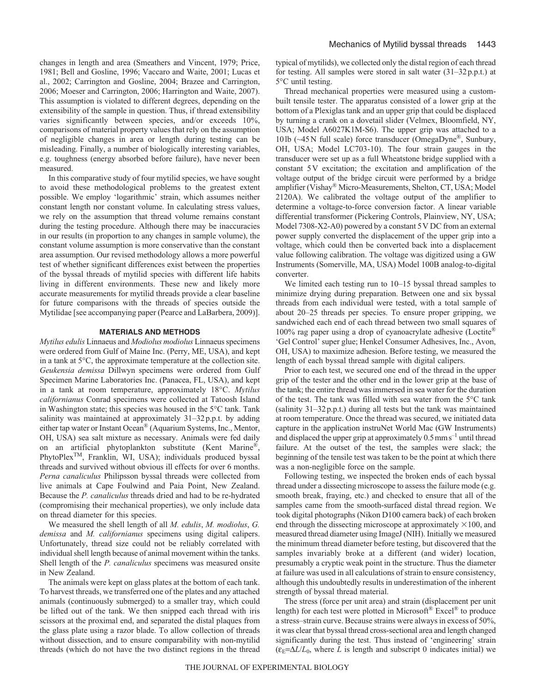changes in length and area (Smeathers and Vincent, 1979; Price, 1981; Bell and Gosline, 1996; Vaccaro and Waite, 2001; Lucas et al., 2002; Carrington and Gosline, 2004; Brazee and Carrington, 2006; Moeser and Carrington, 2006; Harrington and Waite, 2007). This assumption is violated to different degrees, depending on the extensibility of the sample in question. Thus, if thread extensibility varies significantly between species, and/or exceeds 10%, comparisons of material property values that rely on the assumption of negligible changes in area or length during testing can be misleading. Finally, a number of biologically interesting variables, e.g. toughness (energy absorbed before failure), have never been measured.

In this comparative study of four mytilid species, we have sought to avoid these methodological problems to the greatest extent possible. We employ 'logarithmic' strain, which assumes neither constant length nor constant volume. In calculating stress values, we rely on the assumption that thread volume remains constant during the testing procedure. Although there may be inaccuracies in our results (in proportion to any changes in sample volume), the constant volume assumption is more conservative than the constant area assumption. Our revised methodology allows a more powerful test of whether significant differences exist between the properties of the byssal threads of mytilid species with different life habits living in different environments. These new and likely more accurate measurements for mytilid threads provide a clear baseline for future comparisons with the threads of species outside the Mytilidae [see accompanying paper (Pearce and LaBarbera, 2009)].

#### **MATERIALS AND METHODS**

*Mytilus edulis* Linnaeus and *Modiolus modiolus* Linnaeus specimens were ordered from Gulf of Maine Inc. (Perry, ME, USA), and kept in a tank at 5°C, the approximate temperature at the collection site. *Geukensia demissa* Dillwyn specimens were ordered from Gulf Specimen Marine Laboratories Inc. (Panacea, FL, USA), and kept in a tank at room temperature, approximately 18°C. *Mytilus californianus* Conrad specimens were collected at Tatoosh Island in Washington state; this species was housed in the 5°C tank. Tank salinity was maintained at approximately 31–32 p.p.t. by adding either tap water or Instant Ocean® (Aquarium Systems, Inc., Mentor, OH, USA) sea salt mixture as necessary. Animals were fed daily on an artificial phytoplankton substitute (Kent Marine®, PhytoPlex<sup>TM</sup>, Franklin, WI, USA); individuals produced byssal threads and survived without obvious ill effects for over 6 months. *Perna canaliculus* Philipsson byssal threads were collected from live animals at Cape Foulwind and Paia Point, New Zealand. Because the *P. canaliculus* threads dried and had to be re-hydrated (compromising their mechanical properties), we only include data on thread diameter for this species.

We measured the shell length of all *M. edulis*, *M. modiolus*, *G. demissa* and *M. californianus* specimens using digital calipers. Unfortunately, thread size could not be reliably correlated with individual shell length because of animal movement within the tanks. Shell length of the *P. canaliculus* specimens was measured onsite in New Zealand.

The animals were kept on glass plates at the bottom of each tank. To harvest threads, we transferred one of the plates and any attached animals (continuously submerged) to a smaller tray, which could be lifted out of the tank. We then snipped each thread with iris scissors at the proximal end, and separated the distal plaques from the glass plate using a razor blade. To allow collection of threads without dissection, and to ensure comparability with non-mytilid threads (which do not have the two distinct regions in the thread typical of mytilids), we collected only the distal region of each thread for testing. All samples were stored in salt water (31–32p.p.t.) at 5°C until testing.

Thread mechanical properties were measured using a custombuilt tensile tester. The apparatus consisted of a lower grip at the bottom of a Plexiglas tank and an upper grip that could be displaced by turning a crank on a dovetail slider (Velmex, Bloomfield, NY, USA; Model A6027K1M-S6). The upper grip was attached to a 10lb (~45N full scale) force transducer (OmegaDyne®, Sunbury, OH, USA; Model LC703-10). The four strain gauges in the transducer were set up as a full Wheatstone bridge supplied with a constant 5V excitation; the excitation and amplification of the voltage output of the bridge circuit were performed by a bridge amplifier (Vishay® Micro-Measurements, Shelton, CT, USA; Model 2120A). We calibrated the voltage output of the amplifier to determine a voltage-to-force conversion factor. A linear variable differential transformer (Pickering Controls, Plainview, NY, USA; Model 7308-X2-A0) powered by a constant 5V DC from an external power supply converted the displacement of the upper grip into a voltage, which could then be converted back into a displacement value following calibration. The voltage was digitized using a GW Instruments (Somerville, MA, USA) Model 100B analog-to-digital converter.

We limited each testing run to 10–15 byssal thread samples to minimize drying during preparation. Between one and six byssal threads from each individual were tested, with a total sample of about 20–25 threads per species. To ensure proper gripping, we sandwiched each end of each thread between two small squares of 100% rag paper using a drop of cyanoacrylate adhesive (Loctite® 'Gel Control' super glue; Henkel Consumer Adhesives, Inc., Avon, OH, USA) to maximize adhesion. Before testing, we measured the length of each byssal thread sample with digital calipers.

Prior to each test, we secured one end of the thread in the upper grip of the tester and the other end in the lower grip at the base of the tank; the entire thread was immersed in sea water for the duration of the test. The tank was filled with sea water from the 5°C tank (salinity 31–32p.p.t.) during all tests but the tank was maintained at room temperature. Once the thread was secured, we initiated data capture in the application instruNet World Mac (GW Instruments) and displaced the upper grip at approximately  $0.5$  mm s<sup>-1</sup> until thread failure. At the outset of the test, the samples were slack; the beginning of the tensile test was taken to be the point at which there was a non-negligible force on the sample.

Following testing, we inspected the broken ends of each byssal thread under a dissecting microscope to assess the failure mode (e.g. smooth break, fraying, etc.) and checked to ensure that all of the samples came from the smooth-surfaced distal thread region. We took digital photographs (Nikon D100 camera back) of each broken end through the dissecting microscope at approximately  $\times$ 100, and measured thread diameter using ImageJ (NIH). Initially we measured the minimum thread diameter before testing, but discovered that the samples invariably broke at a different (and wider) location, presumably a cryptic weak point in the structure. Thus the diameter at failure was used in all calculations of strain to ensure consistency, although this undoubtedly results in underestimation of the inherent strength of byssal thread material.

The stress (force per unit area) and strain (displacement per unit length) for each test were plotted in Microsoft<sup>®</sup> Excel<sup>®</sup> to produce a stress–strain curve. Because strains were always in excess of 50%, it was clear that byssal thread cross-sectional area and length changed significantly during the test. Thus instead of 'engineering' strain  $(\epsilon_{\text{E}} = \Delta L/L_0$ , where *L* is length and subscript 0 indicates initial) we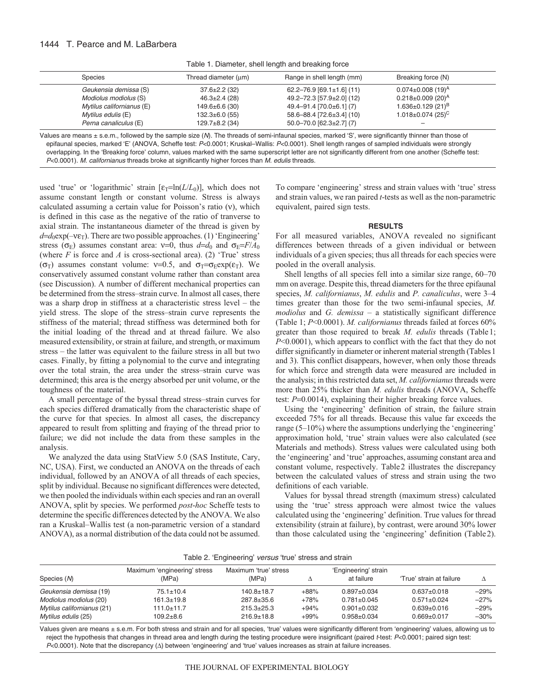# 1444 T. Pearce and M. LaBarbera

Table 1. Diameter, shell length and breaking force

| <b>Species</b>            | Thread diameter (um) | Range in shell length (mm)          | Breaking force (N)                  |  |
|---------------------------|----------------------|-------------------------------------|-------------------------------------|--|
| Geukensia demissa (S)     | $37.6 \pm 2.2$ (32)  | $62.2 - 76.9$ [69.1±1.6] (11)       | $0.074 \pm 0.008$ (19) <sup>A</sup> |  |
| Modiolus modiolus (S)     | $46.3 \pm 2.4$ (28)  | 49.2-72.3 [57.9±2.0] (12)           | $0.218 \pm 0.009$ (20) <sup>A</sup> |  |
| Mytilus californianus (E) | $149.6 \pm 6.6$ (30) | 49.4-91.4 [70.0±6.1] (7)            | $1.636 \pm 0.129$ (21) <sup>B</sup> |  |
| Mytilus edulis (E)        | $132.3 \pm 6.0$ (55) | $58.6 - 88.4$ [72.6 $\pm$ 3.4] (10) | $1.018 \pm 0.074$ (25) <sup>C</sup> |  |
| Perna canaliculus (E)     | $129.7\pm8.2$ (34)   | $50.0 - 70.0$ [62.3±2.7] (7)        |                                     |  |

Values are means ± s.e.m., followed by the sample size (N). The threads of semi-infaunal species, marked 'S', were significantly thinner than those of epifaunal species, marked 'E' (ANOVA, Scheffe test: P<0.0001; Kruskal–Wallis: P<0.0001). Shell length ranges of sampled individuals were strongly overlapping. In the 'Breaking force' column, values marked with the same superscript letter are not significantly different from one another (Scheffe test: P<0.0001). M. californianus threads broke at significantly higher forces than M. edulis threads.

used 'true' or 'logarithmic' strain [ε<sub>T</sub>=ln(*L/L*<sub>0</sub>)], which does not assume constant length or constant volume. Stress is always calculated assuming a certain value for Poisson's ratio (ν), which is defined in this case as the negative of the ratio of tranverse to axial strain. The instantaneous diameter of the thread is given by  $d=d_0exp(-v\epsilon_T)$ . There are two possible approaches. (1) 'Engineering' stress ( $\sigma$ <sub>E</sub>) assumes constant area: v=0, thus  $d=d_0$  and  $\sigma$ <sub>E</sub>=*F/A*<sub>0</sub> (where  $F$  is force and  $A$  is cross-sectional area). (2) 'True' stress ( $\sigma$ T) assumes constant volume:  $v=0.5$ , and  $\sigma$ <sub>T</sub>= $\sigma$ <sub>E</sub>exp( $\varepsilon$ <sub>T</sub>). We conservatively assumed constant volume rather than constant area (see Discussion). A number of different mechanical properties can be determined from the stress–strain curve. In almost all cases, there was a sharp drop in stiffness at a characteristic stress level – the yield stress. The slope of the stress–strain curve represents the stiffness of the material; thread stiffness was determined both for the initial loading of the thread and at thread failure. We also measured extensibility, or strain at failure, and strength, or maximum stress – the latter was equivalent to the failure stress in all but two cases. Finally, by fitting a polynomial to the curve and integrating over the total strain, the area under the stress–strain curve was determined; this area is the energy absorbed per unit volume, or the toughness of the material.

A small percentage of the byssal thread stress–strain curves for each species differed dramatically from the characteristic shape of the curve for that species. In almost all cases, the discrepancy appeared to result from splitting and fraying of the thread prior to failure; we did not include the data from these samples in the analysis.

We analyzed the data using StatView 5.0 (SAS Institute, Cary, NC, USA). First, we conducted an ANOVA on the threads of each individual, followed by an ANOVA of all threads of each species, split by individual. Because no significant differences were detected, we then pooled the individuals within each species and ran an overall ANOVA, split by species. We performed *post*-*hoc* Scheffe tests to determine the specific differences detected by the ANOVA. We also ran a Kruskal–Wallis test (a non-parametric version of a standard ANOVA), as a normal distribution of the data could not be assumed. To compare 'engineering' stress and strain values with 'true' stress and strain values, we ran paired *t*-tests as well as the non-parametric equivalent, paired sign tests.

### **RESULTS**

For all measured variables, ANOVA revealed no significant differences between threads of a given individual or between individuals of a given species; thus all threads for each species were pooled in the overall analysis.

Shell lengths of all species fell into a similar size range, 60–70 mm on average. Despite this, thread diameters for the three epifaunal species, *M. californianus*, *M. edulis* and *P. canaliculus*, were 3–4 times greater than those for the two semi-infaunal species, *M. modiolus* and *G. demissa* – a statistically significant difference (Table 1; *P*<0.0001). *M. californianus* threads failed at forces 60% greater than those required to break *M. edulis* threads (Table1; *P*<0.0001), which appears to conflict with the fact that they do not differ significantly in diameter or inherent material strength (Tables 1) and 3). This conflict disappears, however, when only those threads for which force and strength data were measured are included in the analysis; in this restricted data set, *M. californianus*threads were more than 25% thicker than *M. edulis* threads (ANOVA, Scheffe test: *P*=0.0014), explaining their higher breaking force values.

Using the 'engineering' definition of strain, the failure strain exceeded 75% for all threads. Because this value far exceeds the range (5–10%) where the assumptions underlying the 'engineering' approximation hold, 'true' strain values were also calculated (see Materials and methods). Stress values were calculated using both the 'engineering' and 'true' approaches, assuming constant area and constant volume, respectively. Table2 illustrates the discrepancy between the calculated values of stress and strain using the two definitions of each variable.

Values for byssal thread strength (maximum stress) calculated using the 'true' stress approach were almost twice the values calculated using the 'engineering' definition. True values for thread extensibility (strain at failure), by contrast, were around 30% lower than those calculated using the 'engineering' definition (Table2).

| Species (M)                | Maximum 'engineering' stress<br>(MPa) | Maximum 'true' stress<br>(MPa) | Δ      | 'Engineering' strain<br>at failure | 'True' strain at failure |         |
|----------------------------|---------------------------------------|--------------------------------|--------|------------------------------------|--------------------------|---------|
| Geukensia demissa (19)     | $75.1 \pm 10.4$                       | $140.8 \pm 18.7$               | $+88%$ | $0.897+0.034$                      | $0.637 \pm 0.018$        | –29%    |
| Modiolus modiolus (20)     | $161.3 \pm 19.8$                      | $287.8 \pm 35.6$               | $+78%$ | $0.781 \pm 0.045$                  | $0.571 \pm 0.024$        | $-27\%$ |
| Mytilus californianus (21) | $111.0 \pm 11.7$                      | $215.3 \pm 25.3$               | $+94%$ | $0.901 \pm 0.032$                  | $0.639 + 0.016$          | $-29\%$ |
| Mytilus edulis (25)        | 109.2±8.6                             | $216.9 \pm 18.8$               | $+99%$ | $0.958 + 0.034$                    | $0.669 \pm 0.017$        | $-30\%$ |

Values given are means ± s.e.m. For both stress and strain and for all species, 'true' values were significantly different from 'engineering' values, allowing us to reject the hypothesis that changes in thread area and length during the testing procedure were insignificant (paired t-test: P<0.0001; paired sign test: <sup>P</sup><0.0001). Note that the discrepancy (Δ) between 'engineering' and 'true' values increases as strain at failure increases.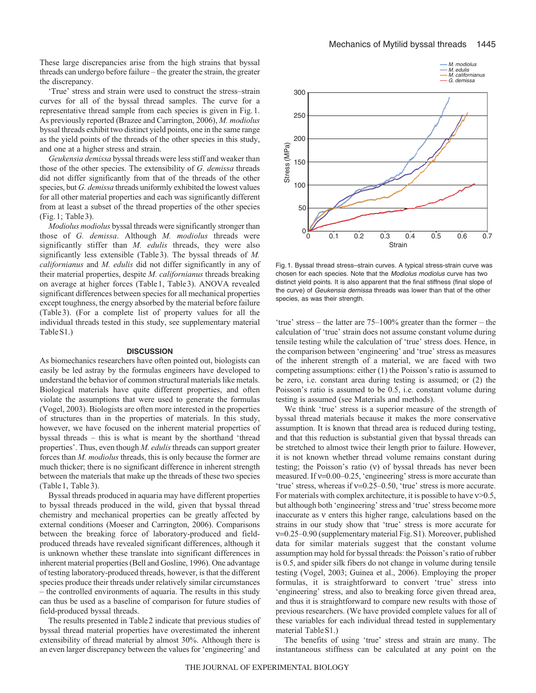These large discrepancies arise from the high strains that byssal threads can undergo before failure – the greater the strain, the greater the discrepancy.

'True' stress and strain were used to construct the stress–strain curves for all of the byssal thread samples. The curve for a representative thread sample from each species is given in Fig.1. As previously reported (Brazee and Carrington, 2006), *M. modiolus* byssal threads exhibit two distinct yield points, one in the same range as the yield points of the threads of the other species in this study, and one at a higher stress and strain.

*Geukensia demissa* byssal threads were less stiff and weaker than those of the other species. The extensibility of *G. demissa* threads did not differ significantly from that of the threads of the other species, but *G. demissa* threads uniformly exhibited the lowest values for all other material properties and each was significantly different from at least a subset of the thread properties of the other species (Fig.1; Table3).

*Modiolus modiolus* byssal threads were significantly stronger than those of *G. demissa*. Although *M. modiolus* threads were significantly stiffer than *M. edulis* threads, they were also significantly less extensible (Table3). The byssal threads of *M. californianus* and *M. edulis* did not differ significantly in any of their material properties, despite *M. californianus* threads breaking on average at higher forces (Table1, Table3). ANOVA revealed significant differences between species for all mechanical properties except toughness, the energy absorbed by the material before failure (Table 3). (For a complete list of property values for all the individual threads tested in this study, see supplementary material TableS1.)

#### **DISCUSSION**

As biomechanics researchers have often pointed out, biologists can easily be led astray by the formulas engineers have developed to understand the behavior of common structural materials like metals. Biological materials have quite different properties, and often violate the assumptions that were used to generate the formulas (Vogel, 2003). Biologists are often more interested in the properties of structures than in the properties of materials. In this study, however, we have focused on the inherent material properties of byssal threads – this is what is meant by the shorthand 'thread properties'. Thus, even though *M. edulis*threads can support greater forces than *M. modiolus* threads, this is only because the former are much thicker; there is no significant difference in inherent strength between the materials that make up the threads of these two species (Table1, Table3).

Byssal threads produced in aquaria may have different properties to byssal threads produced in the wild, given that byssal thread chemistry and mechanical properties can be greatly affected by external conditions (Moeser and Carrington, 2006). Comparisons between the breaking force of laboratory-produced and fieldproduced threads have revealed significant differences, although it is unknown whether these translate into significant differences in inherent material properties (Bell and Gosline, 1996). One advantage of testing laboratory-produced threads, however, is that the different species produce their threads under relatively similar circumstances – the controlled environments of aquaria. The results in this study can thus be used as a baseline of comparison for future studies of field-produced byssal threads.

The results presented in Table2 indicate that previous studies of byssal thread material properties have overestimated the inherent extensibility of thread material by almost 30%. Although there is an even larger discrepancy between the values for 'engineering' and



Fig.1. Byssal thread stress–strain curves. A typical stress-strain curve was chosen for each species. Note that the Modiolus modiolus curve has two distinct yield points. It is also apparent that the final stiffness (final slope of the curve) of Geukensia demissa threads was lower than that of the other species, as was their strength.

'true' stress – the latter are 75–100% greater than the former – the calculation of 'true' strain does not assume constant volume during tensile testing while the calculation of 'true' stress does. Hence, in the comparison between 'engineering' and 'true' stress as measures of the inherent strength of a material, we are faced with two competing assumptions: either (1) the Poisson's ratio is assumed to be zero, i.e. constant area during testing is assumed; or (2) the Poisson's ratio is assumed to be 0.5, i.e. constant volume during testing is assumed (see Materials and methods).

We think 'true' stress is a superior measure of the strength of byssal thread materials because it makes the more conservative assumption. It is known that thread area is reduced during testing, and that this reduction is substantial given that byssal threads can be stretched to almost twice their length prior to failure. However, it is not known whether thread volume remains constant during testing; the Poisson's ratio (ν) of byssal threads has never been measured. If  $v=0.00-0.25$ , 'engineering' stress is more accurate than 'true' stress, whereas if ν=0.25–0.50, 'true' stress is more accurate. For materials with complex architecture, it is possible to have  $v > 0.5$ , but although both 'engineering' stress and 'true' stress become more inaccurate as ν enters this higher range, calculations based on the strains in our study show that 'true' stress is more accurate for ν=0.25–0.90 (supplementary material Fig.S1). Moreover, published data for similar materials suggest that the constant volume assumption may hold for byssal threads: the Poisson's ratio of rubber is 0.5, and spider silk fibers do not change in volume during tensile testing (Vogel, 2003; Guinea et al., 2006). Employing the proper formulas, it is straightforward to convert 'true' stress into 'engineering' stress, and also to breaking force given thread area, and thus it is straightforward to compare new results with those of previous researchers. (We have provided complete values for all of these variables for each individual thread tested in supplementary material TableS1.)

The benefits of using 'true' stress and strain are many. The instantaneous stiffness can be calculated at any point on the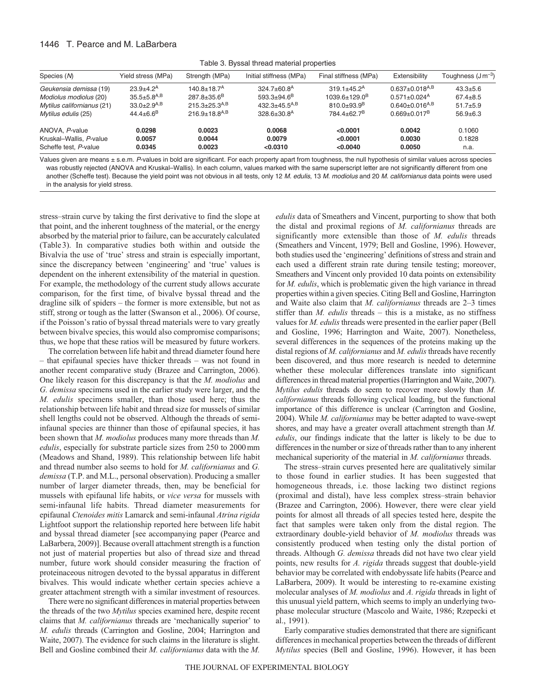# 1446 T. Pearce and M. LaBarbera

Table 3. Byssal thread material properties

| Species (M)                | Yield stress (MPa)          | Strength (MPa)                  | Initial stiffness (MPa)       | Final stiffness (MPa)         | Extensibility                    | Toughness $(J\,m^{-3})$ |
|----------------------------|-----------------------------|---------------------------------|-------------------------------|-------------------------------|----------------------------------|-------------------------|
| Geukensia demissa (19)     | $23.9 + 4.2^A$              | $140.8 + 18.7A$                 | $324.7\pm 60.8$ <sup>A</sup>  | $319.1 \pm 45.2$ <sup>A</sup> | $0.637 \pm 0.018$ <sup>A,B</sup> | $43.3 + 5.6$            |
| Modiolus modiolus (20)     | $35.5 + 5.8$ <sup>A,B</sup> | $287.8 \pm 35.6^B$              | $593.3 + 94.6^B$              | $1039.6 \pm 129.0^B$          | $0.571 \pm 0.024$ <sup>A</sup>   | $67.4 \pm 8.5$          |
| Mytilus californianus (21) | $33.0+2.9^{A,B}$            | $215.3 + 25.3^{A,B}$            | $432.3 + 45.5^{A,B}$          | $810.0 + 93.9^B$              | $0.640 \pm 0.016^{A,B}$          | $51.7 + 5.9$            |
| Mytilus edulis (25)        | $44.4 \pm 6.6^B$            | $216.9 \pm 18.8$ <sup>A,B</sup> | $328.6 \pm 30.8$ <sup>A</sup> | $784.4 + 62.7^B$              | $0.669 \pm 0.017^B$              | $56.9+6.3$              |
| ANOVA, P-value             | 0.0298                      | 0.0023                          | 0.0068                        | < 0.0001                      | 0.0042                           | 0.1060                  |
| Kruskal-Wallis, P-value    | 0.0057                      | 0.0044                          | 0.0079                        | < 0.0001                      | 0.0030                           | 0.1828                  |
| Scheffe test, P-value      | 0.0345                      | 0.0023                          | < 0.0310                      | < 0.0040                      | 0.0050                           | n.a.                    |

Values given are means ± s.e.m. P-values in bold are significant. For each property apart from toughness, the null hypothesis of similar values across species was robustly rejected (ANOVA and Kruskal–Wallis). In each column, values marked with the same superscript letter are not significantly different from one another (Scheffe test). Because the yield point was not obvious in all tests, only 12 M. edulis, 13 M. modiolus and 20 M. californianus data points were used in the analysis for yield stress.

stress–strain curve by taking the first derivative to find the slope at that point, and the inherent toughness of the material, or the energy absorbed by the material prior to failure, can be accurately calculated (Table3). In comparative studies both within and outside the Bivalvia the use of 'true' stress and strain is especially important, since the discrepancy between 'engineering' and 'true' values is dependent on the inherent extensibility of the material in question. For example, the methodology of the current study allows accurate comparison, for the first time, of bivalve byssal thread and the dragline silk of spiders – the former is more extensible, but not as stiff, strong or tough as the latter (Swanson et al., 2006). Of course, if the Poisson's ratio of byssal thread materials were to vary greatly between bivalve species, this would also compromise comparisons; thus, we hope that these ratios will be measured by future workers.

The correlation between life habit and thread diameter found here – that epifaunal species have thicker threads – was not found in another recent comparative study (Brazee and Carrington, 2006). One likely reason for this discrepancy is that the *M. modiolus* and *G. demissa* specimens used in the earlier study were larger, and the *M. edulis* specimens smaller, than those used here; thus the relationship between life habit and thread size for mussels of similar shell lengths could not be observed. Although the threads of semiinfaunal species are thinner than those of epifaunal species, it has been shown that *M. modiolus* produces many more threads than *M. edulis*, especially for substrate particle sizes from 250 to 2000mm (Meadows and Shand, 1989). This relationship between life habit and thread number also seems to hold for *M. californianus* and *G. demissa* (T.P. and M.L., personal observation). Producing a smaller number of larger diameter threads, then, may be beneficial for mussels with epifaunal life habits, or *vice versa* for mussels with semi-infaunal life habits. Thread diameter measurements for epifaunal *Ctenoides mitis* Lamarck and semi-infaunal *Atrina rigida* Lightfoot support the relationship reported here between life habit and byssal thread diameter [see accompanying paper (Pearce and LaBarbera, 2009)]. Because overall attachment strength is a function not just of material properties but also of thread size and thread number, future work should consider measuring the fraction of proteinaceous nitrogen devoted to the byssal apparatus in different bivalves. This would indicate whether certain species achieve a greater attachment strength with a similar investment of resources.

There were no significant differences in material properties between the threads of the two *Mytilus* species examined here, despite recent claims that *M. californianus* threads are 'mechanically superior' to *M. edulis* threads (Carrington and Gosline, 2004; Harrington and Waite, 2007). The evidence for such claims in the literature is slight. Bell and Gosline combined their *M. californianus* data with the *M.* *edulis* data of Smeathers and Vincent, purporting to show that both the distal and proximal regions of *M. californianus* threads are significantly more extensible than those of *M. edulis* threads (Smeathers and Vincent, 1979; Bell and Gosline, 1996). However, both studies used the 'engineering' definitions of stress and strain and each used a different strain rate during tensile testing; moreover, Smeathers and Vincent only provided 10 data points on extensibility for *M. edulis*, which is problematic given the high variance in thread properties within a given species. Citing Bell and Gosline, Harrington and Waite also claim that *M. californianus* threads are 2–3 times stiffer than *M. edulis* threads – this is a mistake, as no stiffness values for *M. edulis*threads were presented in the earlier paper (Bell and Gosline, 1996; Harrington and Waite, 2007). Nonetheless, several differences in the sequences of the proteins making up the distal regions of *M. californianus* and *M. edulis* threads have recently been discovered, and thus more research is needed to determine whether these molecular differences translate into significant differences in thread material properties (Harrington and Waite, 2007). *Mytilus edulis* threads do seem to recover more slowly than *M. californianus* threads following cyclical loading, but the functional importance of this difference is unclear (Carrington and Gosline, 2004). While *M. californianus* may be better adapted to wave-swept shores, and may have a greater overall attachment strength than *M. edulis*, our findings indicate that the latter is likely to be due to differences in the number or size of threads rather than to any inherent mechanical superiority of the material in *M. californianus* threads.

The stress–strain curves presented here are qualitatively similar to those found in earlier studies. It has been suggested that homogeneous threads, i.e. those lacking two distinct regions (proximal and distal), have less complex stress–strain behavior (Brazee and Carrington, 2006). However, there were clear yield points for almost all threads of all species tested here, despite the fact that samples were taken only from the distal region. The extraordinary double-yield behavior of *M. modiolus* threads was consistently produced when testing only the distal portion of threads. Although *G. demissa* threads did not have two clear yield points, new results for *A. rigida* threads suggest that double-yield behavior may be correlated with endobyssate life habits (Pearce and LaBarbera, 2009). It would be interesting to re-examine existing molecular analyses of *M. modiolus* and *A. rigida* threads in light of this unusual yield pattern, which seems to imply an underlying twophase molecular structure (Mascolo and Waite, 1986; Rzepecki et al., 1991).

Early comparative studies demonstrated that there are significant differences in mechanical properties between the threads of different *Mytilus* species (Bell and Gosline, 1996). However, it has been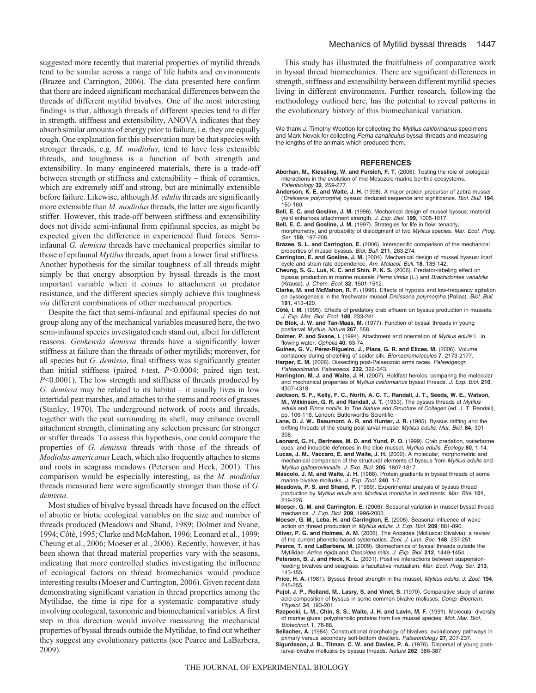suggested more recently that material properties of mytilid threads tend to be similar across a range of life habits and environments (Brazee and Carrington, 2006). The data presented here confirm that there are indeed significant mechanical differences between the threads of different mytilid bivalves. One of the most interesting findings is that, although threads of different species tend to differ in strength, stiffness and extensibility, ANOVA indicates that they absorb similar amounts of energy prior to failure, i.e. they are equally tough. One explanation for this observation may be that species with stronger threads, e.g. *M. modiolus*, tend to have less extensible threads, and toughness is a function of both strength and extensibility. In many engineered materials, there is a trade-off between strength or stiffness and extensibility – think of ceramics, which are extremely stiff and strong, but are minimally extensible before failure. Likewise, although *M. edulis*threads are significantly more extensible than *M. modiolus*threads, the latter are significantly stiffer. However, this trade-off between stiffness and extensibility does not divide semi-infaunal from epifaunal species, as might be expected given the difference in experienced fluid forces. Semiinfaunal *G. demissa* threads have mechanical properties similar to those of epifaunal *Mytilus* threads, apart from a lower final stiffness. Another hypothesis for the similar toughness of all threads might simply be that energy absorption by byssal threads is the most important variable when it comes to attachment or predator resistance, and the different species simply achieve this toughness *via* different combinations of other mechanical properties.

Despite the fact that semi-infaunal and epifaunal species do not group along any of the mechanical variables measured here, the two semi-infaunal species investigated each stand out, albeit for different reasons. *Geukensia demissa* threads have a significantly lower stiffness at failure than the threads of other mytilids; moreover, for all species but *G. demissa*, final stiffness was significantly greater than initial stiffness (paired *t*-test, *P*<0.0004; paired sign test, *P*<0.0001). The low strength and stiffness of threads produced by *G. demissa* may be related to its habitat – it usually lives in low intertidal peat marshes, and attaches to the stems and roots of grasses (Stanley, 1970). The underground network of roots and threads, together with the peat surrounding its shell, may enhance overall attachment strength, eliminating any selection pressure for stronger or stiffer threads. To assess this hypothesis, one could compare the properties of *G. demissa* threads with those of the threads of *Modiolus americanus* Leach, which also frequently attaches to stems and roots in seagrass meadows (Peterson and Heck, 2001). This comparison would be especially interesting, as the *M. modiolus* threads measured here were significantly stronger than those of *G. demissa*.

Most studies of bivalve byssal threads have focused on the effect of abiotic or biotic ecological variables on the size and number of threads produced (Meadows and Shand, 1989; Dolmer and Svane, 1994; Côté, 1995; Clarke and McMahon, 1996; Leonard et al., 1999; Cheung et al., 2006; Moeser et al., 2006). Recently, however, it has been shown that thread material properties vary with the seasons, indicating that more controlled studies investigating the influence of ecological factors on thread biomechanics would produce interesting results (Moeser and Carrington, 2006). Given recent data demonstrating significant variation in thread properties among the Mytilidae, the time is ripe for a systematic comparative study involving ecological, taxonomic and biomechanical variables. A first step in this direction would involve measuring the mechanical properties of byssal threads outside the Mytilidae, to find out whether they suggest any evolutionary patterns (see Pearce and LaBarbera, 2009).

This study has illustrated the fruitfulness of comparative work in byssal thread biomechanics. There are significant differences in strength, stiffness and extensibility between different mytilid species living in different environments. Further research, following the methodology outlined here, has the potential to reveal patterns in the evolutionary history of this biomechanical variation.

We thank J. Timothy Wootton for collecting the Mytilus californianus specimens and Mark Novak for collecting Perna canaliculus byssal threads and measuring the lengths of the animals which produced them.

#### **REFERENCES**

- **Aberhan, M., Kiessling, W. and Fursich, F. T.** (2006). Testing the role of biological interactions in the evolution of mid-Mesozoic marine benthic ecosystems. Paleobiology **32**, 259-277.
- **Anderson, K. E. and Waite, J. H.** (1998). A major protein precursor of zebra mussel (Dreissena polymorpha) byssus: deduced sequence and significance. Biol. Bull. **194**, 150-160.
- **Bell, E. C. and Gosline, J. M.** (1996). Mechanical design of mussel byssus: material yield enhances attachment strength. J. Exp. Biol. **199**, 1005-1017. **Bell, E. C. and Gosline, J. M.** (1997). Strategies for life in flow: tenacity,
- morphometry, and probability of dislodgment of two Mytilus species. Mar. Ecol. Prog. Ser. **159**, 197-208.
- **Brazee, S. L. and Carrington, E.** (2006). Interspecific comparison of the mechanical properties of mussel byssus. Biol. Bull. **211**, 263-274.
- **Carrington, E. and Gosline, J. M.** (2004). Mechanical design of mussel byssus: load cycle and strain rate dependence. Am. Malacol. Bull. **18**, 135-142.
- **Cheung, S. G., Luk, K. C. and Shin, P. K. S.** (2006). Predator-labeling effect on byssus production in marine mussels Perna viridis (L.) and Brachidontes variabilis
- (Krauss). J. Chem. Ecol. **32**, 1501-1512. **Clarke, M. and McMahon, R. F.** (1996). Effects of hypoxia and low-frequency agitation on byssogenesis in the freshwater mussel Dreissena polymorpha (Pallas). Biol. Bull. **191**, 413-420.
- **Côté, I. M.** (1995). Effects of predatory crab effluent on byssus production in mussels. J. Exp. Mar. Biol. Ecol. **188**, 233-241.
- **De Blok, J. W. and Tan-Maas, M.** (1977). Function of byssal threads in young postlarval Mytilus. Nature **267**, 558.
- **Dolmer, P. and Svane, I.** (1994). Attachment and orientation of Mytilus edulis L. in flowing water. Ophelia **40**, 63-74.
- **Guinea, G. V., Pérez-Rigueiro, J., Plaza, G. R. and Elices, M.** (2006). Volume constancy during stretching of spider silk. Biomacromolecules **7**, 2173-2177.
- Harper, E. M. (2006). Dissecting post-Palaeozoic arms races. Palaeogeogr. Palaeoclimatol. Palaeoecol. **232**, 322-343.
- **Harrington, M. J. and Waite, J. H.** (2007). Holdfast heroics: comparing the molecular and mechanical properties of Mytilus californianus byssal threads. J. Exp. Biol. **210**, 4307-4318.
- **Jackson, S. F., Kelly, F. C., North, A. C. T., Randall, J. T., Seeds, W. E., Watson, M., Wilkinson, G. R. and Randall, J. T.** (1953). The byssus threads of Mytilus edulis and Pinna nobilis. In The Nature and Structure of Collagen (ed. J. T. Randall), pp. 106-116. London: Butterworths Scientific.
- **Lane, D. J. W., Beaumont, A. R. and Hunter, J. R.** (1985). Byssus drifting and the drifting threads of the young post-larval mussel Mytilus edulis. Mar. Biol. **84**, 301- 308.
- **Leonard, G. H., Bertness, M. D. and Yund, P. O.** (1999). Crab predation, waterborne cues, and inducible defenses in the blue mussel, Mytilus edulis. Ecology **80**, 1-14.
- **Lucas, J. M., Vaccaro, E. and Waite, J. H.** (2002). A molecular, morphometric and mechanical comparison of the structural elements of byssus from Mytilus edulis and Mytilus galloprovincialis. J. Exp. Biol. **205**, 1807-1817.
- **Mascolo, J. M. and Waite, J. H.** (1986). Protein gradients in byssal threads of some marine bivalve mollusks. J. Exp. Zool. **240**, 1-7.
- **Meadows, P. S. and Shand, P.** (1989). Experimental analysis of byssus thread production by Mytilus edulis and Modiolus modiolus in sediments. Mar. Biol. **101**, 219-226.
- **Moeser, G. M. and Carrington, E.** (2006). Seasonal variation in mussel byssal thread mechanics. J. Exp. Biol. **209**, 1996-2003.
- **Moeser, G. M., Leba, H. and Carrington, E.** (2006). Seasonal influence of wave action on thread production in Mytilus edulis. J. Exp. Biol. **209**, 881-890.
- **Oliver, P. G. and Holmes, A. M.** (2006). The Arcoidea (Mollusca: Bivalvia): a review of the current phenetic-based systematics. Zool. J. Linn. Soc. **148**, 237-251. **Pearce, T. and LaBarbera, M.** (2009). Biomechanics of byssal threads outside the
- Mytilidae: Atrina rigida and Ctenoides mitis. J. Exp. Biol. **212**, 1449-1454. Peterson, B. J. and Heck, K. L. (2001). Positive interactions between suspension-
- feeding bivalves and seagrass: a facultative mutualism. Mar. Ecol. Prog. Ser. **213**, 143-155.
- Price, H. A. (1981). Byssus thread strength in the mussel, Mytilus edulis. J. Zool. 194, 245-255.
- **Pujol, J. P., Rolland, M., Lasry, S. and Vinet, S.** (1970). Comparative study of amino acid composition of byssus in some common bivalve molluscs. Comp. Biochem. Physiol. **34**, 193-201.
- **Rzepecki, L. M., Chin, S. S., Waite, J. H. and Lavin, M. F.** (1991). Molecular diversity of marine glues: polyphenolic proteins from five mussel species. Mol. Mar. Biol. Biotechnol. **1**, 78-88.
- **Seilacher, A.** (1984). Constructional morphology of bivalves: evolutionary pathways in primary versus secondary soft-bottom dwellers. Palaeontology **27**, 207-237.
- **Sigurdsson, J. B., Titman, C. W. and Davies, P. A.** (1976). Dispersal of young postlarval bivalve mollusks by byssus threads. Nature **262**, 386-387.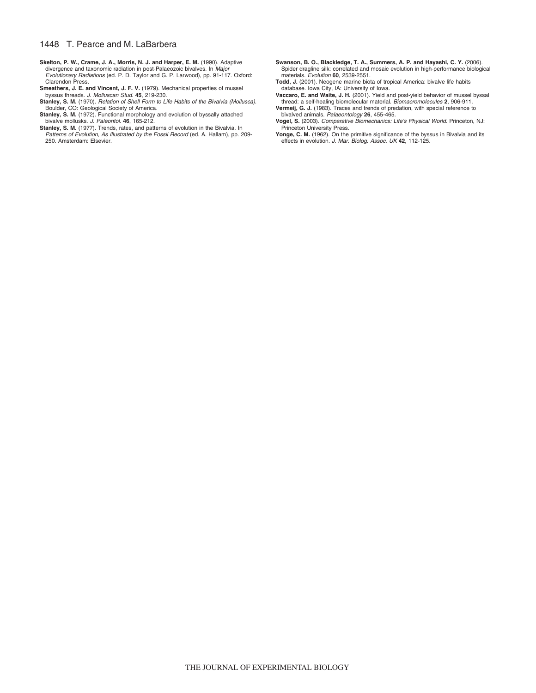# 1448 T. Pearce and M. LaBarbera

- **Skelton, P. W., Crame, J. A., Morris, N. J. and Harper, E. M.** (1990). Adaptive divergence and taxonomic radiation in post-Palaeozoic bivalves. In Major Evolutionary Radiations (ed. P. D. Taylor and G. P. Larwood), pp. 91-117. Oxford: Clarendon Press.
- **Smeathers, J. E. and Vincent, J. F. V.** (1979). Mechanical properties of mussel byssus threads. J. Molluscan Stud. **45**, 219-230.
- Stanley, S. M. (1970). Relation of Shell Form to Life Habits of the Bivalvia (Mollusca). Boulder, CO: Geological Society of America.
- Stanley, S. M. (1972). Functional morphology and evolution of byssally attached
- bivalve mollusks. *J. Paleontol.* 46, 165-212.<br>**Stanley, S. M.** (1977). Trends, rates, and patterns of evolution in the Bivalvia. In<br>*Patterns of Evolution, As Illustrated by the Fossil Record* (ed. A. Hallam), pp. 209-250. Amsterdam: Elsevier.
- **Swanson, B. O., Blackledge, T. A., Summers, A. P. and Hayashi, C. Y.** (2006). Spider dragline silk: correlated and mosaic evolution in high-performance biological materials. Evolution **60**, 2539-2551.
- **Todd, J.** (2001). Neogene marine biota of tropical America: bivalve life habits database. Iowa City, IA: University of Iowa. **Vaccaro, E. and Waite, J. H.** (2001). Yield and post-yield behavior of mussel byssal
- thread: a self-healing biomolecular material. Biomacromolecules **2**, 906-911.
- **Vermeij, G. J.** (1983). Traces and trends of predation, with special reference to bivalved animals. Palaeontology **26**, 455-465.
- **Vogel, S.** (2003). Comparative Biomechanics: Life's Physical World. Princeton, NJ: Princeton University Press. **Yonge, C. M.** (1962). On the primitive significance of the byssus in Bivalvia and its
- effects in evolution. J. Mar. Biolog. Assoc. UK **42**, 112-125.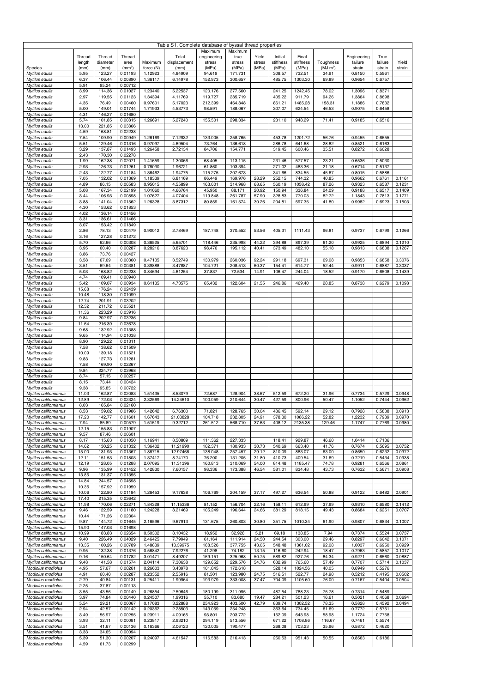| Table S1. Complete database of byssal thread properties |                  |                    |                    |                    |                       |                       |                    |                 |                      |                    |                 |                        |                  |                  |
|---------------------------------------------------------|------------------|--------------------|--------------------|--------------------|-----------------------|-----------------------|--------------------|-----------------|----------------------|--------------------|-----------------|------------------------|------------------|------------------|
|                                                         |                  |                    |                    |                    |                       | Maximum               | Maximum            |                 |                      |                    |                 |                        |                  |                  |
|                                                         | Thread<br>length | Thread<br>diameter | Thread<br>area     | Maximum            | Total<br>displacement | engineering<br>stress | true<br>stress     | Yield<br>stress | Initial<br>stiffness | Final<br>stiffness | Toughness       | Engineering<br>failure | True<br>failure  | Yield            |
| Species                                                 | (mm)             | (mm)               | (mm <sup>2</sup> ) | force (N)          | (mm)                  | (MPa)                 | (MPa)              | (MPa)           | (MPa)                | (MPa)              | $(MJ \, m^3)$   | strain                 | strain           | strain           |
| Mytilus edulis<br>Mytilus edulis                        | 5.95<br>6.37     | 123.27<br>106.44   | 0.01193<br>0.00890 | 1.12923<br>1.36117 | 4.84909<br>6.14978    | 94.619<br>152.973     | 171.731<br>300.657 |                 | 308.57<br>485.75     | 732.51<br>1303.30  | 34.91<br>69.89  | 0.8150<br>0.9654       | 0.5961<br>0.6757 |                  |
| Mytilus edulis                                          | 5.91             | 95.24              | 0.00712            |                    |                       |                       |                    |                 |                      |                    |                 |                        |                  |                  |
| Mytilus edulis                                          | 3.99             | 114.36             | 0.01027            | 1.23440            | 5.22537               | 120.176               | 277.560            |                 | 241.25               | 1242.45            | 78.02           | 1.3096                 | 0.8371           |                  |
| Mytilus edulis<br>$\overline{My}$ tilus edulis          | 2.97<br>4.35     | 119.55<br>76.49    | 0.01123<br>0.00460 | 1.34394<br>0.97601 | 4.11769<br>5.17023    | 119.727<br>212.399    | 285.719<br>464.848 |                 | 405.22<br>861.21     | 911.79<br>1485.28  | 94.26<br>158.31 | 1.3864<br>1.1886       | 0.8698<br>0.7832 |                  |
| Mytilus edulis                                          | 5.00             | 149.01             | 0.01744            | 1.71933            | 4.53773               | 98.591                | 188.067            |                 | 307.07               | 624.54             | 46.53           | 0.9075                 | 0.6458           |                  |
| Mytilus edulis                                          | 4.31             | 146.27             | 0.01680            |                    |                       |                       |                    |                 |                      |                    |                 |                        |                  |                  |
| Mytilus edulis<br>Mytilus edulis                        | 5.74<br>13.00    | 101.85<br>221.85   | 0.00815<br>0.03866 | 1.26691            | 5.27240               | 155.501               | 298.334            |                 | 231.10               | 948.29             | 71.41           | 0.9185                 | 0.6516           |                  |
| Mytilus edulis                                          | 4.59             | 168.81             | 0.02238            |                    |                       |                       |                    |                 |                      |                    |                 |                        |                  |                  |
| Mytilus edulis                                          | 7.54             | 109.90             | 0.00949            | 1.26169            | 7.12932               | 133.005               | 258.765            |                 | 453.78               | 1201.72            | 56.76           | 0.9455                 | 0.6655           |                  |
| Mytilus edulis<br>Mytilus edulis                        | 5.51<br>3.29     | 129.46<br>137.87   | 0.01316<br>0.01493 | 0.97097<br>1.26458 | 4.69504<br>2.72134    | 73.764<br>84.706      | 136.618<br>154.771 |                 | 286.78<br>319.45     | 641.68<br>600.46   | 28.82<br>35.51  | 0.8521<br>0.8272       | 0.6163<br>0.6028 |                  |
| Mytilus edulis                                          | 2.43             | 170.30             | 0.02278            |                    |                       |                       |                    |                 |                      |                    |                 |                        |                  |                  |
| Mytilus edulis                                          | 1.99<br>2.93     | 162.38<br>126.73   | 0.02071<br>0.01261 | 1.41659<br>0.78030 | 1.30066<br>1.96721    | 68.405<br>61.860      | 113.115<br>103.394 |                 | 231.46<br>271.02     | 577.57<br>483.36   | 23.21<br>21.18  | 0.6536<br>0.6714       | 0.5030<br>0.5137 |                  |
| Mytilus edulis<br>Mytilus edulis                        | 2.43             | 122.77             | 0.01184            | 1.36462            | 1.94775               | 115.275               | 207.673            |                 | 341.66               | 834.55             | 45.67           | 0.8015                 | 0.5886           |                  |
| Mytilus edulis                                          | 7.05             | 132.02             | 0.01369            | 1.18339            | 6.81169               | 86.449                | 169.976            | 28.29           | 252.15               | 744.32             | 40.85           | 0.9662                 | 0.6761           | 0.1161           |
| Mytilus edulis<br>Mytilus edulis                        | 4.89<br>5.08     | 86.15<br>167.34    | 0.00583<br>0.02199 | 0.95015<br>1.01060 | 4.55899<br>4.66764    | 163.001<br>45.950     | 314.968<br>88.171  | 68.65<br>20.92  | 560.19<br>150.94     | 1058.42<br>336.84  | 87.26<br>24.09  | 0.9323<br>0.9188       | 0.6587<br>0.6517 | 0.1231<br>0.1409 |
| Mytilus edulis                                          | 3.44             | 106.93             | 0.00898            | 1.07627            | 4.07404               | 119.848               | 261.787            | 57.90           | 328.83               | 770.03             | 82.72           | 1.1843                 | 0.7813           | 0.1771           |
| Mytilus edulis                                          | 3.88             | 141.04             | 0.01562            | 1.26328            | 3.87312               | 80.859                | 161.574            | 30.26           | 204.81               | 597.35             | 41.80           | 0.9982                 | 0.6923           | 0.1503           |
| Mytilus edulis<br>Mytilus edulis                        | 4.30<br>4.02     | 153.62<br>136.14   | 0.01853<br>0.01456 |                    |                       |                       |                    |                 |                      |                    |                 |                        |                  |                  |
| Mytilus edulis                                          | 3.31             | 136.61             | 0.01466            |                    |                       |                       |                    |                 |                      |                    |                 |                        |                  |                  |
| Mytilus edulis                                          | 3.07             | 153.42             | 0.01849            |                    |                       |                       |                    |                 |                      |                    |                 |                        |                  |                  |
| Mytilus edulis<br>Mytilus edulis                        | 2.86<br>3.16     | 78.13<br>127.28    | 0.00479<br>0.01272 | 0.90012            | 2.78469               | 187.748               | 370.552            | 53.56           | 405.31               | 1111.43            | 96.81           | 0.9737                 | 0.6799           | 0.1266           |
| Mytilus edulis                                          | 5.70             | 62.66              | 0.00308            | 0.36525            | 5.65701               | 118.446               | 235.998            | 44.22           | 394.88               | 897.39             | 61.20           | 0.9925                 | 0.6894           | 0.1210           |
| Mytilus edulis                                          | 3.95             | 60.40              | 0.00287            | 0.28216            | 3.87623               | 98.476                | 195.112            | 40.41           | 373.49               | 482.10             | 55.18           | 0.9813                 | 0.6838           | 0.1267           |
| Mytilus edulis<br>Mytilus edulis                        | 3.86<br>3.58     | 73.76<br>67.69     | 0.00427<br>0.00360 | 0.47135            | 3.52749               | 130.979               | 260.036            | 92.24           | 291.18               | 697.31             | 69.08           | 0.9853                 | 0.6858           | 0.3076           |
| Mytilus edulis                                          | 3.51             | 69.64              | 0.00381            | 0.39888            | 3.47887               | 104.721               | 208.513            | 60.37           | 154.41               | 614.77             | 52.44           | 0.9911                 | 0.6887           | 0.3037           |
| $\overline{My}$ tilus edulis                            | 5.03             | 168.82             | 0.02238            | 0.84694            | 4.61254               | 37.837                | 72.534             | 14.91           | 106.47               | 244.04             | 18.52           | 0.9170                 | 0.6508           | 0.1439           |
| Mytilus edulis<br>Mytilus edulis                        | 4.74<br>5.42     | 109.41<br>109.07   | 0.00940<br>0.00934 | 0.61135            | 4.73575               | 65.432                | 122.604            | 21.55           | 246.86               | 469.40             | 28.85           | 0.8738                 | 0.6279           | 0.1098           |
| Mytilus edulis                                          | 15.68            | 176.24             | 0.02439            |                    |                       |                       |                    |                 |                      |                    |                 |                        |                  |                  |
| Mytilus edulis<br>Mytilus edulis                        | 10.48<br>12.74   | 118.30<br>201.91   | 0.01099<br>0.03202 |                    |                       |                       |                    |                 |                      |                    |                 |                        |                  |                  |
| Mytilus edulis                                          | 12.32            | 211.72             | 0.03521            |                    |                       |                       |                    |                 |                      |                    |                 |                        |                  |                  |
| Mytilus edulis                                          | 11.36            | 223.29             | 0.03916            |                    |                       |                       |                    |                 |                      |                    |                 |                        |                  |                  |
| Mytilus edulis<br>Mytilus edulis                        | 9.84<br>11.64    | 202.97<br>216.39   | 0.03236<br>0.03678 |                    |                       |                       |                    |                 |                      |                    |                 |                        |                  |                  |
| Mytilus edulis                                          | 9.68             | 132.92             | 0.01388            |                    |                       |                       |                    |                 |                      |                    |                 |                        |                  |                  |
| Mytilus edulis                                          | 9.65             | 114.94             | 0.01038            |                    |                       |                       |                    |                 |                      |                    |                 |                        |                  |                  |
| Mytilus edulis<br>Mytilus edulis                        | 8.90<br>7.58     | 129.22<br>138.62   | 0.01311<br>0.01509 |                    |                       |                       |                    |                 |                      |                    |                 |                        |                  |                  |
| Mytilus edulis                                          | 10.09            | 139.18             | 0.01521            |                    |                       |                       |                    |                 |                      |                    |                 |                        |                  |                  |
| Mytilus edulis                                          | 9.83             | 127.73             | 0.01281            |                    |                       |                       |                    |                 |                      |                    |                 |                        |                  |                  |
| Mytilus edulis<br>Mytilus edulis                        | 7.58<br>9.84     | 169.90<br>224.77   | 0.02267<br>0.03968 |                    |                       |                       |                    |                 |                      |                    |                 |                        |                  |                  |
| Mytilus edulis                                          | 8.74             | 57.15              | 0.00257            |                    |                       |                       |                    |                 |                      |                    |                 |                        |                  |                  |
| Mytilus edulis                                          | 8.15             | 73.44              | 0.00424            |                    |                       |                       |                    |                 |                      |                    |                 |                        |                  |                  |
| Mytilus edulis<br>Mytilus californianus                 | 9.38<br>11.03    | 95.85<br>162.87    | 0.00722<br>0.02083 | 1.51435            | 8.53079               | 72.687                | 128.904            | 38.67           | 512.59               | 672.20             | 31.96           | 0.7734                 | 0.5729           | 0.0948           |
| Mytilus californianus                                   | 12.89            | 172.03             | 0.02324            | 2.32569            | 14.24610              | 100.059               | 210.644            | 30.47           | 427.59               | 800.96             | 50.47           | 1.1052                 | 0.7444           | 0.0962           |
| Mytilus californianus                                   | 8.03             | 165.84             | 0.02160            |                    |                       |                       |                    |                 |                      |                    |                 |                        |                  |                  |
| Mytilus californianus<br>Mytilus californianus          | 8.53<br>17.20    | 159.02<br>142.77   | 0.01986<br>0.01601 | 1.42642<br>1.67643 | 6.76300<br>21.03828   | 71.821<br>104.718     | 128.765<br>232.805 | 30.04<br>24.91  | 486.45<br>378.30     | 592.14<br>1086.22  | 29.12<br>52.82  | 0.7928<br>1.2232       | 0.5838<br>0.7989 | 0.0913<br>0.0970 |
| Mytilus californianus                                   | 7.94             | 85.89              | 0.00579            | 1.51519            | 9.32712               | 261.512               | 568.710            | 37.63           | 408.12               | 2135.38            | 129.46          | 1.1747                 | 0.7769           | 0.0980           |
| Mytilus californianus<br>Mytilus californianus          | 12.15<br>9.57    | 155.83<br>87.46    | 0.01907<br>0.00601 |                    |                       |                       |                    |                 |                      |                    |                 |                        |                  |                  |
| Mytilus californianus                                   | 8.17             | 115.63             | 0.01050            | 1.16941            | 8.50809               | 111.362               | 227.333            |                 | 118.41               | 929.87             | 46.60           | 1.0414                 | 0.7136           |                  |
| Mytilus californianus                                   | 14.62            | 130.25             | 0.01332            | 1.36402            | 11.21990              | 102.371               | 180.933            | 30.73           | 540.69               | 663.40             | 41.76           | 0.7674                 | 0.5695           | 0.0752           |
| Mytilus californianus<br>Mytilus californianus          | 15.00<br>12.11   | 131.93<br>151.53   | 0.01367<br>0.01803 | 1.88715<br>1.37417 | 12.97468<br>8.74170   | 138.048<br>76.200     | 257.457<br>131.205 | 29.12<br>31.80  | 810.09<br>410.73     | 883.07<br>409.54   | 63.00<br>31.69  | 0.8650<br>0.7219       | 0.6232<br>0.5434 | 0.0372<br>0.0938 |
| Mytilus californianus                                   | 12.19            | 128.05             | 0.01288            | 2.07095            | 11.31396              | 160.813               | 310.069            | 54.00           | 814.48               | 1185.47            | 74.78           | 0.9281                 | 0.6566           | 0.0861           |
| Mytilus californianus                                   | 9.96             | 135.99             | 0.01452            | 1.42830            | 7.60157               | 98.336                | 173.388            | 46.54           | 581.01               | 834.48             | 43.73           | 0.7632                 | 0.5671           | 0.0908           |
| Mytilus californianus<br>Mytilus californianus          | 13.85<br>14.84   | 131.37<br>244.57   | 0.01355<br>0.04698 |                    |                       |                       |                    |                 |                      |                    |                 |                        |                  |                  |
| Mytilus californianus                                   | 10.36            | 157.92             | 0.01959            |                    |                       |                       |                    |                 |                      |                    |                 |                        |                  |                  |
| Mytilus californianus                                   | 10.06            | 122.80             | 0.01184            | 1.26453            | 9.17638               | 106.769               | 204.159            | 37.17           | 497.27               | 636.54             | 50.88           | 0.9122                 | 0.6482           | 0.0901           |
| Mytilus californianus<br>Mytilus californianus          | 17.40<br>11.98   | 215.35<br>170.06   | 0.03642<br>0.02271 | 1.84328            | 11.15336              | 81.152                | 156.704            | 22.16           | 158.11               | 612.99             | 37.99           | 0.9310                 | 0.6580           | 0.1412           |
| Mytilus californianus                                   | 9.46             | 122.59             | 0.01180            | 1.24228            | 8.21469               | 105.249               | 196.644            | 24.66           | 381.29               | 818.15             | 49.43           | 0.8684                 | 0.6251           | 0.0707           |
| Mytilus californianus                                   | 10.44            | 171.26             | 0.02304            |                    |                       |                       |                    |                 |                      |                    |                 |                        |                  |                  |
| Mytilus californianus<br>Mytilus californianus          | 9.87<br>15.90    | 144.72<br>147.03   | 0.01645<br>0.01698 | 2.16596            | 9.67913               | 131.675               | 260.803            | 30.80           | 351.75               | 1010.34            | 61.90           | 0.9807                 | 0.6834           | 0.1007           |
| Mytilus californianus                                   | 10.99            | 183.83             | 0.02654            | 0.50302            | 8.10432               | 18.952                | 32.928             | 5.21            | 69.18                | 138.85             | 7.94            | 0.7374                 | 0.5524           | 0.0737           |
| Mytilus californianus                                   | 9.40             | 226.49             | 0.04029            | 2.46425            | 7.79949               | 61.164                | 111.914            | 24.50           | 244.54               | 303.00             | 29.46           | 0.8297                 | 0.6042           | 0.1071           |
| Mytilus californianus<br>Mytilus californianus          | 13.35<br>9.95    | 100.26<br>132.38   | 0.00789<br>0.01376 | 1.48839<br>0.56842 | 13.39975<br>7.92276   | 188.526<br>41.298     | 377.755<br>74.182  | 43.05<br>13.15  | 548.48<br>116.60     | 1361.02<br>242.94  | 92.08<br>18.47  | 1.0037<br>0.7963       | 0.6950<br>0.5857 | 0.0929<br>0.1017 |
| Mytilus californianus                                   | 9.16             | 150.64             | 0.01782            | 3.01471            | 8.49207               | 169.151               | 325.968            | 50.75           | 589.82               | 927.76             | 84.34           | 0.9271                 | 0.6560           | 0.0887           |
| Mytilus californianus<br>Modiolus modiolus              | 9.48<br>4.95     | 141.58<br>57.67    | 0.01574<br>0.00261 | 2.04114<br>0.26603 | 7.30638<br>3.43978    | 129.652<br>101.845    | 229.576<br>172.618 | 54.76           | 632.99<br>328.14     | 765.60<br>1024.56  | 57.49<br>40.05  | 0.7707<br>0.6949       | 0.5276           | 0.5714 0.1037    |
| Modiolus modiolus                                       | 4.91             | 60.40              | 0.00287            | 0.23352            | 2.55916               | 81.501                | 123.980            | 24.75           | 516.51               | 522.77             | 24.90           | 0.5212                 | 0.4195           | 0.0502           |
| Modiolus modiolus                                       | 2.79             | 40.84              | 0.00131            | 0.25411            | 1.99964               | 193.979               | 333.008            | 37.47           | 704.09               | 1105.60            | 76.00           | 0.7167                 | 0.5404           | 0.0504           |
| Modiolus modiolus<br>Modiolus modiolus                  | 2.25<br>3.55     | 37.87<br>43.56     | 0.00113<br>0.00149 | 0.26854            | 2.59646               | 180.199               | 311.995            |                 | 487.54               | 788.23             | 75.78           | 0.7314                 | 0.5489           |                  |
| Modiolus modiolus                                       | 3.97             | 74.84              | 0.00440            | 0.24507            | 1.99316               | 55.710                | 83.680             | 19.47           | 284.21               | 501.23             | 16.61           | 0.5021                 | 0.4068           | 0.0694           |
| Modiolus modiolus                                       | 5.54             | 29.21              | 0.00067            | 0.17083            | 3.22888               | 254.923               | 403.500            | 42.79           | 839.74               | 1302.52            | 78.35           | 0.5828                 | 0.4592           | 0.0494           |
| Modiolus modiolus<br>Modiolus modiolus                  | 2.94<br>3.49     | 42.57<br>56.97     | 0.00142<br>0.00255 | 0.20362<br>0.23911 | 2.28503<br>4.09165    | 143.059<br>93.801     | 254.248<br>203.772 |                 | 363.64<br>152.09     | 734.45<br>643.98   | 61.69<br>58.98  | 0.7772<br>1.1724       | 0.5751<br>0.7758 |                  |
| Modiolus modiolus                                       | 3.93             | 32.11              | 0.00081            | 0.23817            | 2.93210               | 294.119               | 513.556            |                 | 671.22               | 1708.86            | 116.67          | 0.7461                 | 0.5574           |                  |
| Modiolus modiolus                                       | 3.51             | 41.67              | 0.00136            | 0.16366            | 2.06123               | 120.005               | 190.477            |                 | 268.08               | 703.23             | 35.96           | 0.5872                 | 0.4620           |                  |
| Modiolus modiolus<br>Modiolus modiolus                  | 3.33<br>5.39     | 34.65<br>51.30     | 0.00094<br>0.00207 | 0.24097            | 4.61547               | 116.583               | 216.413            |                 | 250.53               | 951.43             | 50.55           | 0.8563                 | 0.6186           |                  |
| Modiolus modiolus                                       | 4.59             | 61.73              | 0.00299            |                    |                       |                       |                    |                 |                      |                    |                 |                        |                  |                  |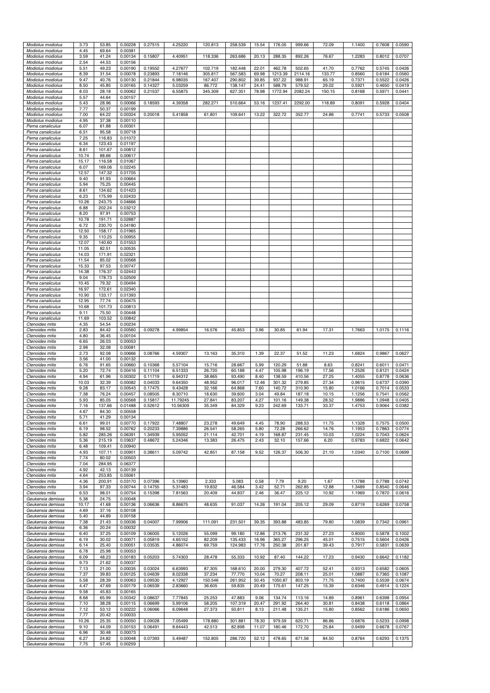| Modiolus modiolus                      | 3.73           | 53.85            | 0.00228            | 0.27515            | 4.25220            | 120.813          | 258.539           | 15.54         | 176.05           | 999.66           | 72.09          | 1.1400           | 0.7608           | 0.0590           |
|----------------------------------------|----------------|------------------|--------------------|--------------------|--------------------|------------------|-------------------|---------------|------------------|------------------|----------------|------------------|------------------|------------------|
| Modiolus modiolus                      | 4.45           | 69.64            | 0.00381            |                    |                    |                  |                   |               |                  |                  |                |                  |                  |                  |
| Modiolus modiolus                      | 3.59           | 41.24            | 0.00134            | 0.15807            | 4.40951            | 118.336          | 263.686           | 20.13         | 288.35           | 892.26           | 76.67          | 1.2283           | 0.8012           | 0.0707           |
| Modiolus modiolus                      | 2.54           | 44.53            | 0.00156            |                    |                    |                  |                   |               |                  |                  |                |                  |                  |                  |
| Modiolus modiolus                      | 5.51           | 49.23            | 0.00190            | 0.19552            | 4.27677            | 102.719          | 182.448           | 22.01         | 462.78           | 502.65           | 41.70          | 0.7762           | 0.5745           | 0.0426           |
| Modiolus modiolus                      | 8.39           | 31.54            | 0.00078            | 0.23893            | 7.18146            | 305.817          | 567.583           | 69.98         | 1213.39          | 2114.16          | 133.77         | 0.8560           | 0.6184           | 0.0560           |
| Modiolus modiolus                      | 9.47           | 40.76            | 0.00130            | 0.21844            | 6.98035            | 167.407          | 290.802           | 39.85         | 937.22           | 988.91           | 65.19          | 0.7371           | 0.5522           | 0.0426           |
| Modiolus modiolus                      | 8.50           | 45.85            | 0.00165            | 0.14327            | 5.03259            | 86.772           | 138.147           | 24.41         | 588.79           | 579.52           | 29.02          | 0.5921           | 0.4650           | 0.0419           |
| Modiolus modiolus                      | 8.03           | 28.18            | 0.00062            | 0.21537            | 6.55875            | 345.309          | 627.351           | 78.98         | 1772.94          | 2082.24          | 150.15         | 0.8168           | 0.5971           | 0.0441           |
| Modiolus modiolus<br>Modiolus modiolus | 5.57<br>5.43   | 44.64<br>28.96   | 0.00157<br>0.00066 | 0.18593            | 4.39358            | 282.271          | 510.664           | 53.16         | 1237.41          | 2292.00          | 118.89         | 0.8091           | 0.5928           | 0.0404           |
| Modiolus modiolus                      | 7.77           | 50.37            | 0.00199            |                    |                    |                  |                   |               |                  |                  |                |                  |                  |                  |
| Modiolus modiolus                      | 7.00           | 64.22            | 0.00324            | 0.20018            | 5.41858            | 61.801           | 109.641           | 13.22         | 322.72           | 352.77           | 24.86          | 0.7741           | 0.5733           | 0.0508           |
| Modiolus modiolus                      | 4.95           | 37.38            | 0.00110            |                    |                    |                  |                   |               |                  |                  |                |                  |                  |                  |
| Perna canaliculus                      | 6.07           | 61.88            | 0.00301            |                    |                    |                  |                   |               |                  |                  |                |                  |                  |                  |
| Perna canaliculus                      | 6.51           | 95.58            | 0.00718            |                    |                    |                  |                   |               |                  |                  |                |                  |                  |                  |
| Perna canaliculus                      | 7.25           | 116.83           | 0.01072            |                    |                    |                  |                   |               |                  |                  |                |                  |                  |                  |
| Perna canaliculus                      | 6.34           | 123.43           | 0.01197            |                    |                    |                  |                   |               |                  |                  |                |                  |                  |                  |
| Perna canaliculus<br>Perna canaliculus | 8.61<br>10.74  | 101.67<br>88.66  | 0.00812<br>0.00617 |                    |                    |                  |                   |               |                  |                  |                |                  |                  |                  |
| Perna canaliculus                      | 15.17          | 116.58           | 0.01067            |                    |                    |                  |                   |               |                  |                  |                |                  |                  |                  |
| Perna canaliculus                      | 6.07           | 169.06           | 0.02245            |                    |                    |                  |                   |               |                  |                  |                |                  |                  |                  |
| Perna canaliculus                      | 12.57          | 147.32           | 0.01705            |                    |                    |                  |                   |               |                  |                  |                |                  |                  |                  |
| Perna canaliculus                      | 9.40           | 91.93            | 0.00664            |                    |                    |                  |                   |               |                  |                  |                |                  |                  |                  |
| Perna canaliculus                      | 5.94           | 75.25            | 0.00445            |                    |                    |                  |                   |               |                  |                  |                |                  |                  |                  |
| Perna canaliculus                      | 8.61           | 134.62           | 0.01423            |                    |                    |                  |                   |               |                  |                  |                |                  |                  |                  |
| Perna canaliculus                      | 6.23           | 175.99           | 0.02433            |                    |                    |                  |                   |               |                  |                  |                |                  |                  |                  |
| Perna canaliculus                      | 10.26<br>6.88  | 243.75<br>202.24 | 0.04666<br>0.03212 |                    |                    |                  |                   |               |                  |                  |                |                  |                  |                  |
| Perna canaliculus<br>Perna canaliculus | 8.20           | 97.91            | 0.00753            |                    |                    |                  |                   |               |                  |                  |                |                  |                  |                  |
| Perna canaliculus                      | 10.78          | 191.71           | 0.02887            |                    |                    |                  |                   |               |                  |                  |                |                  |                  |                  |
| Perna canaliculus                      | 6.72           | 230.70           | 0.04180            |                    |                    |                  |                   |               |                  |                  |                |                  |                  |                  |
| Perna canaliculus                      | 12.50          | 158.17           | 0.01965            |                    |                    |                  |                   |               |                  |                  |                |                  |                  |                  |
| Perna canaliculus                      | 9.35           | 110.25           | 0.00955            |                    |                    |                  |                   |               |                  |                  |                |                  |                  |                  |
| Perna canaliculus                      | 12.07          | 140.60           | 0.01553            |                    |                    |                  |                   |               |                  |                  |                |                  |                  |                  |
| Perna canaliculus<br>Perna canaliculus | 11.05<br>14.03 | 82.51<br>171.91  | 0.00535<br>0.02321 |                    |                    |                  |                   |               |                  |                  |                |                  |                  |                  |
| Perna canaliculus                      | 11.54          | 85.02            | 0.00568            |                    |                    |                  |                   |               |                  |                  |                |                  |                  |                  |
| Perna canaliculus                      | 15.33          | 97.53            | 0.00747            |                    |                    |                  |                   |               |                  |                  |                |                  |                  |                  |
| Perna canaliculus                      | 14.38          | 176.37           | 0.02443            |                    |                    |                  |                   |               |                  |                  |                |                  |                  |                  |
| Perna canaliculus                      | 9.04           | 178.73           | 0.02509            |                    |                    |                  |                   |               |                  |                  |                |                  |                  |                  |
| Perna canaliculus                      | 10.45          | 79.32            | 0.00494            |                    |                    |                  |                   |               |                  |                  |                |                  |                  |                  |
| Perna canaliculus<br>Perna canaliculus | 16.97<br>10.90 | 172.61<br>133.17 | 0.02340<br>0.01393 |                    |                    |                  |                   |               |                  |                  |                |                  |                  |                  |
| Perna canaliculus                      | 12.95          | 77.74            | 0.00475            |                    |                    |                  |                   |               |                  |                  |                |                  |                  |                  |
| Perna canaliculus                      | 10.68          | 101.73           | 0.00813            |                    |                    |                  |                   |               |                  |                  |                |                  |                  |                  |
| Perna canaliculus                      | 9.11           | 75.50            | 0.00448            |                    |                    |                  |                   |               |                  |                  |                |                  |                  |                  |
| Perna canaliculus                      | 11.69          | 103.52           | 0.00842            |                    |                    |                  |                   |               |                  |                  |                |                  |                  |                  |
| Ctenoides mitis<br>Ctenoides mitis     | 4.35<br>2.83   | 54.54<br>84.42   | 0.00234<br>0.00560 | 0.09278            | 4.99854            | 16.576           | 45.853            | 3.96          | 30.85            | 61.94            | 17.31          | 1.7663           | 1.0175           | 0.1116           |
| Ctenoides mitis                        | 4.80           | 36.45            | 0.00104            |                    |                    |                  |                   |               |                  |                  |                |                  |                  |                  |
| Ctenoides mitis                        | 6.65           | 26.03            | 0.00053            |                    |                    |                  |                   |               |                  |                  |                |                  |                  |                  |
|                                        |                |                  |                    |                    |                    |                  |                   |               |                  |                  |                |                  |                  |                  |
| Ctenoides mitis                        | 2.98           | 32.08            | 0.00081            |                    |                    |                  |                   |               |                  |                  |                |                  |                  |                  |
| Ctenoides mitis                        | 2.73           | 92.08            | 0.00666            | 0.08766            | 4.59307            | 13.163           | 35.310            | 1.39          | 22.37            | 51.52            | 11.23          | 1.6824           | 0.9867           | 0.0627           |
| Ctenoides mitis                        | 3.56           | 41.00            | 0.00132            |                    |                    |                  |                   |               |                  |                  |                |                  |                  |                  |
| Ctenoides mitis                        | 6.76           | 91.65            | 0.00660            | 0.10368            | 5.57104            | 15.716           | 28.667            | 5.99          | 120.29           | 51.88            | 8.63           | 0.8241           | 0.6011           | 0.0471           |
| Ctenoides mitis                        | 5.20<br>4.94   | 72.74            | 0.00416            | 0.11104<br>0.11719 | 6.51333            | 26.720<br>38.865 | 60.188<br>93.490  | 4.47<br>8.40  | 105.98           | 196.19<br>410.56 | 17.56          | 1.2526<br>1.4055 | 0.8121<br>0.8778 | 0.0424<br>0.0636 |
| Ctenoides mitis<br>Ctenoides mitis     | 10.03          | 61.96<br>32.39   | 0.00302<br>0.00082 | 0.04033            | 6.94312<br>9.64350 | 48.952           | 96.017            | 12.46         | 138.59<br>301.32 | 279.85           | 27.25<br>27.34 | 0.9615           | 0.6737           | 0.0390           |
| Ctenoides mitis                        | 9.28           | 83.17            | 0.00543            | 0.17475            | 9.43428            | 32.166           | 64.868            | 7.60          | 140.72           | 310.90           | 15.80          | 1.0166           | 0.7014           | 0.0533           |
| Ctenoides mitis                        | 7.38           | 76.24            | 0.00457            | 0.08505            | 8.30710            | 18.630           | 39.600            | 3.04          | 49.84            | 187.18           | 10.15          | 1.1256           | 0.7541           | 0.0562           |
| Ctenoides mitis                        | 5.93           | 85.05            | 0.00568            | 0.15817            | 11.79245           | 27.841           | 83.207            | 4.27          | 101.16           | 149.38           | 28.52          | 1.9886           | 1.0948           | 0.0405           |
| Ctenoides mitis                        | 7.16           | 137.66           | 0.01488            | 0.52612            | 10.56309           | 35.349           | 84.329            | 9.23          | 242.69           | 133.71           | 33.37          | 1.4753           | 0.9064           | 0.0382           |
| Ctenoides mitis                        | 4.67           | 84.30            | 0.00558            |                    |                    |                  |                   |               |                  |                  |                |                  |                  |                  |
| Ctenoides mitis<br>Ctenoides mitis     | 5.71<br>6.61   | 41.29<br>99.01   | 0.00134<br>0.00770 | 0.17922            | 7.48807            | 23.278           | 49.649            | 4.45          | 78.90            | 288.53           | 11.75          | 1.1328           | 0.7575           | 0.0500           |
| Ctenoides mitis                        | 6.19           | 98.52            | 0.00762            | 0.20233            | 7.39886            | 26.541           | 58.265            | 5.80          | 72.28            | 266.62           | 14.76          | 1.1953           | 0.7863           | 0.0774           |
| Ctenoides mitis                        | 5.82           | 285.26           | 0.06391            | 1.34939            | 5.95052            | 21.114           | 42.701            | 4.19          | 168.87           | 231.45           | 10.03          | 1.0224           | 0.7043           | 0.0624           |
| Ctenoides mitis                        | 5.36           | 215.19           | 0.03637            | 0.48672            | 5.24346            | 13.383           | 26.475            | 2.43          | 32.10            | 157.66           | 6.20           | 0.9783           | 0.6822           | 0.0642           |
| Ctenoides mitis                        | 6.48           | 109.41           | 0.00940            |                    |                    |                  |                   |               |                  |                  |                |                  |                  |                  |
| Ctenoides mitis<br>Ctenoides mitis     | 4.93<br>7.74   | 107.11<br>80.02  | 0.00901<br>0.00503 | 0.38611            | 5.09742            | 42.851           | 87.158            | 9.52          | 126.37           | 506.30           | 21.10          | 1.0340           | 0.7100           | 0.0699           |
| Ctenoides mitis                        | 7.04           | 284.95           | 0.06377            |                    |                    |                  |                   |               |                  |                  |                |                  |                  |                  |
| Ctenoides mitis                        | 4.92           | 42.13            | 0.00139            |                    |                    |                  |                   |               |                  |                  |                |                  |                  |                  |
| Ctenoides mitis                        | 4.64           | 253.85           | 0.05061            |                    |                    |                  |                   |               |                  |                  |                |                  |                  |                  |
| Ctenoides mitis                        | 4.36           | 200.91           | 0.03170            | 0.07396            | 5.13960            | 2.333            | 5.083             | 0.58          | 7.79             | 9.20             | 1.67           | 1.1788           | 0.7788           | 0.0742           |
| Ctenoides mitis<br>Ctenoides mitis     | 3.94<br>6.53   | 97.33<br>98.01   | 0.00744<br>0.00754 | 0.14755<br>0.15398 | 5.31483<br>7.81563 | 19.832<br>20.409 | 46.584<br>44.837  | 3.42<br>2.46  | 52.71<br>36.47   | 262.85<br>225.12 | 12.88<br>10.92 | 1.3489<br>1.1969 | 0.8540<br>0.7870 | 0.0646<br>0.0616 |
| Geukensia demissa                      | 5.38           | 24.75            | 0.00048            |                    |                    |                  |                   |               |                  |                  |                |                  |                  |                  |
| Geukensia demissa                      | 10.17          | 41.68            | 0.00136            | 0.06636            | 8.86675            | 48.635           | 91.037            | 14.26         | 191.04           | 205.12           | 29.09          | 0.8719           | 0.6269           | 0.0758           |
| Geukensia demissa                      | 4.69           | 37.16            | 0.00108            |                    |                    |                  |                   |               |                  |                  |                |                  |                  |                  |
| Geukensia demissa                      | 5.40           | 44.89            | 0.00158            |                    |                    |                  |                   |               |                  |                  |                |                  |                  |                  |
| Geukensia demissa<br>Geukensia demissa | 7.38<br>6.36   | 21.43<br>20.24   | 0.00036<br>0.00032 | 0.04007            | 7.99906            | 111.091          | 231.501           | 39.35         | 393.88           | 483.85           | 79.80          | 1.0839           | 0.7342           | 0.0961           |
| Geukensia demissa                      | 6.40           | 37.25            | 0.00109            | 0.06005            | 5.12026            | 55.099           | 99.180            | 12.86         | 213.76           | 231.32           | 27.23          | 0.8000           | 0.5878           | 0.1002           |
| Geukensia demissa                      | 6.19           | 30.02            | 0.00071            | 0.05819            | 4.65152            | 82.209           | 135.433           | 16.96         | 365.27           | 296.25           | 45.01          | 0.7515           | 0.5604           | 0.0426           |
| Geukensia demissa                      | 6.14           | 25.40            | 0.00051            | 0.03535            | 4.86074            | 69.759           | 124.983           | 17.76         | 250.38           | 201.87           | 39.43          | 0.7917           | 0.5831           | 0.0639           |
| Geukensia demissa                      | 6.78           | 25.98            | 0.00053            |                    |                    |                  |                   |               |                  |                  |                |                  |                  |                  |
| Geukensia demissa                      | 6.09           | 48.23            | 0.00183            | 0.05203            | 5.74303            | 28.478           | 55.333            | 10.92         | 87.40            | 144.22           | 17.23          | 0.9430           | 0.6642           | 0.1182           |
| Geukensia demissa<br>Geukensia demissa | 9.73<br>7.13   | 21.62<br>21.00   | 0.00037<br>0.00035 | 0.03024            | 6.63993            | 87.305           | 168.610           | 20.00         | 279.30           | 407.72           | 52.41          | 0.9313           | 0.6582           | 0.0605           |
| Geukensia demissa                      | 7.37           | 39.83            | 0.00125            | 0.04639            | 8.02338            | 37.234           | 77.770            | 10.04         | 70.27            | 208.11           | 25.01          | 1.0887           | 0.7365           | 0.1087           |
| Geukensia demissa                      | 5.58           | 28.39            | 0.00063            | 0.09530            | 4.12927            | 150.546          | 261.952           | 50.45         | 1050.87          | 803.19           | 71.75          | 0.7400           | 0.5539           | 0.0674           |
| Geukensia demissa                      | 4.47           | 47.69            | 0.00179            | 0.06539            | 2.83660            | 36.605           | 59.835            | 20.49         | 175.61           | 147.25           | 15.39          | 0.6346           | 0.4914           | 0.1224           |
| Geukensia demissa                      | 9.58           | 45.83            | 0.00165            |                    |                    |                  |                   |               |                  |                  |                |                  |                  |                  |
| Geukensia demissa<br>Geukensia demissa | 8.68<br>7.10   | 65.99<br>38.28   | 0.00342<br>0.00115 | 0.08637<br>0.06699 | 7.77845<br>5.99106 | 25.253<br>58.205 | 47.883<br>107.319 | 9.06<br>20.47 | 134.74<br>291.92 | 113.16<br>264.40 | 14.89<br>30.81 | 0.8961<br>0.8438 | 0.6398<br>0.6118 | 0.0954<br>0.0864 |
| Geukensia demissa                      | 7.12           | 53.12            | 0.00222            | 0.06066            | 6.09648            | 27.373           | 50.811            | 8.13          | 211.48           | 135.21           | 15.80          | 0.8562           | 0.6186           | 0.0650           |
| Geukensia demissa                      | 7.77           | 20.42            | 0.00033            |                    |                    |                  |                   |               |                  |                  |                |                  |                  |                  |
| Geukensia demissa                      | 10.26          | 25.35            | 0.00050            | 0.09028            | 7.05499            | 178.880          | 301.881           | 78.30         | 979.59           | 620.71           | 86.86          | 0.6876           | 0.5233           | 0.0998           |
| Geukensia demissa                      | 9.10           | 44.09            | 0.00153            | 0.06491            | 8.64443            | 42.513           | 82.898            | 11.07         | 180.46           | 172.70           | 25.84          | 0.9499           | 0.6678           | 0.0767           |
| Geukensia demissa<br>Geukensia demissa | 6.96<br>6.27   | 30.48<br>24.82   | 0.00073<br>0.00048 | 0.07393            | 5.49487            | 152.805          | 286.720           | 52.12         | 478.65           | 671.56           | 84.50          | 0.8764           | 0.6293           | 0.1375           |